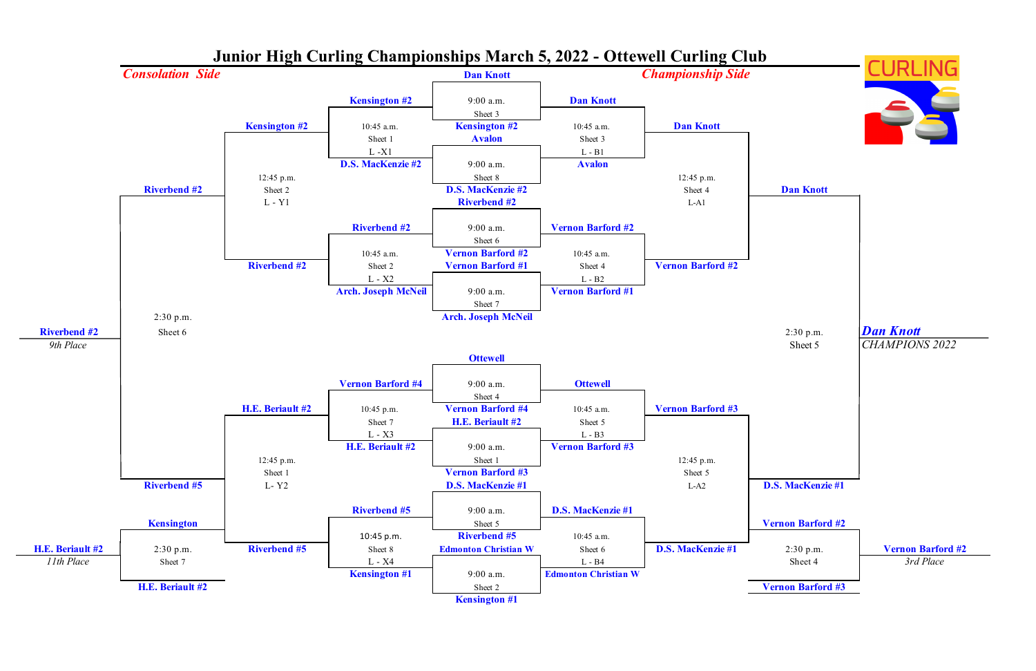